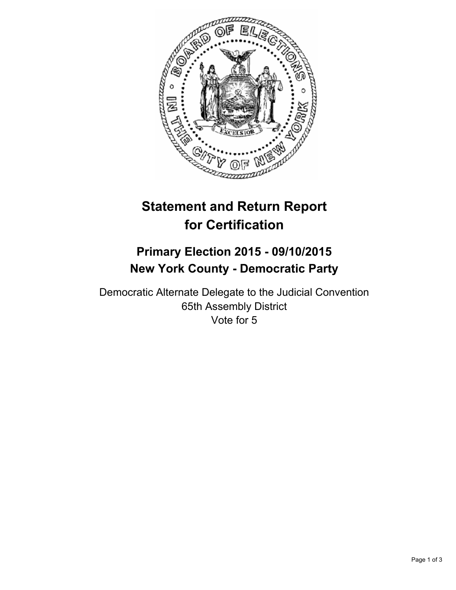

# **Statement and Return Report for Certification**

## **Primary Election 2015 - 09/10/2015 New York County - Democratic Party**

Democratic Alternate Delegate to the Judicial Convention 65th Assembly District Vote for 5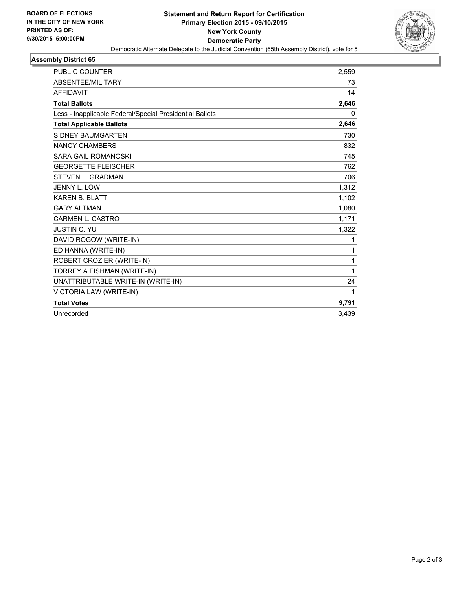

#### **Assembly District 65**

| <b>PUBLIC COUNTER</b>                                    | 2,559 |
|----------------------------------------------------------|-------|
| ABSENTEE/MILITARY                                        | 73    |
| <b>AFFIDAVIT</b>                                         | 14    |
| <b>Total Ballots</b>                                     | 2,646 |
| Less - Inapplicable Federal/Special Presidential Ballots | 0     |
| <b>Total Applicable Ballots</b>                          | 2,646 |
| <b>SIDNEY BAUMGARTEN</b>                                 | 730   |
| <b>NANCY CHAMBERS</b>                                    | 832   |
| <b>SARA GAIL ROMANOSKI</b>                               | 745   |
| <b>GEORGETTE FLEISCHER</b>                               | 762   |
| <b>STEVEN L. GRADMAN</b>                                 | 706   |
| JENNY L. LOW                                             | 1,312 |
| <b>KAREN B. BLATT</b>                                    | 1,102 |
| <b>GARY ALTMAN</b>                                       | 1,080 |
| <b>CARMEN L. CASTRO</b>                                  | 1,171 |
| <b>JUSTIN C. YU</b>                                      | 1,322 |
| DAVID ROGOW (WRITE-IN)                                   | 1     |
| ED HANNA (WRITE-IN)                                      | 1     |
| ROBERT CROZIER (WRITE-IN)                                | 1     |
| TORREY A FISHMAN (WRITE-IN)                              | 1     |
| UNATTRIBUTABLE WRITE-IN (WRITE-IN)                       | 24    |
| VICTORIA LAW (WRITE-IN)                                  | 1     |
| <b>Total Votes</b>                                       | 9,791 |
| Unrecorded                                               | 3,439 |